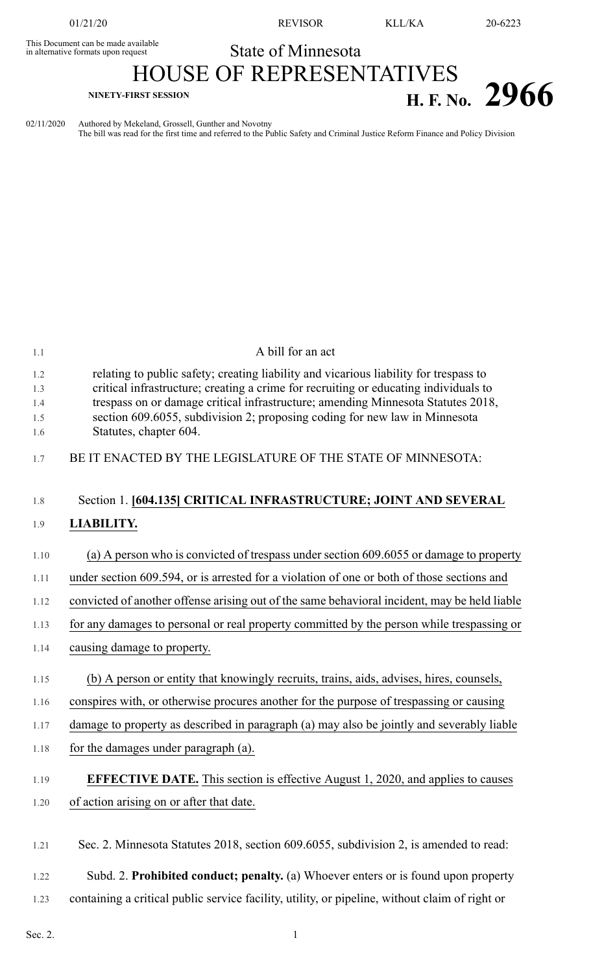This Document can be made available<br>in alternative formats upon request

01/21/20 REVISOR KLL/KA 20-6223

## State of Minnesota

## HOUSE OF REPRESENTATIVES **H. F. No. 2966**

02/11/2020 Authored by Mekeland, Grossell, Gunther and Novotny The bill was read for the first time and referred to the Public Safety and Criminal Justice Reform Finance and Policy Division

| 1.1                             | A bill for an act                                                                                                                                                                                                                                                                                                                                                         |
|---------------------------------|---------------------------------------------------------------------------------------------------------------------------------------------------------------------------------------------------------------------------------------------------------------------------------------------------------------------------------------------------------------------------|
| 1.2<br>1.3<br>1.4<br>1.5<br>1.6 | relating to public safety; creating liability and vicarious liability for trespass to<br>critical infrastructure; creating a crime for recruiting or educating individuals to<br>trespass on or damage critical infrastructure; amending Minnesota Statutes 2018,<br>section 609.6055, subdivision 2; proposing coding for new law in Minnesota<br>Statutes, chapter 604. |
| 1.7                             | BE IT ENACTED BY THE LEGISLATURE OF THE STATE OF MINNESOTA:                                                                                                                                                                                                                                                                                                               |
| 1.8                             | Section 1. [604.135] CRITICAL INFRASTRUCTURE; JOINT AND SEVERAL                                                                                                                                                                                                                                                                                                           |
| 1.9                             | LIABILITY.                                                                                                                                                                                                                                                                                                                                                                |
| 1.10                            | (a) A person who is convicted of trespass under section 609.6055 or damage to property                                                                                                                                                                                                                                                                                    |
| 1.11                            | under section 609.594, or is arrested for a violation of one or both of those sections and                                                                                                                                                                                                                                                                                |
| 1.12                            | convicted of another offense arising out of the same behavioral incident, may be held liable                                                                                                                                                                                                                                                                              |
| 1.13                            | for any damages to personal or real property committed by the person while trespassing or                                                                                                                                                                                                                                                                                 |
| 1.14                            | causing damage to property.                                                                                                                                                                                                                                                                                                                                               |
| 1.15                            | (b) A person or entity that knowingly recruits, trains, aids, advises, hires, counsels,                                                                                                                                                                                                                                                                                   |
| 1.16                            | conspires with, or otherwise procures another for the purpose of trespassing or causing                                                                                                                                                                                                                                                                                   |
| 1.17                            | damage to property as described in paragraph (a) may also be jointly and severably liable                                                                                                                                                                                                                                                                                 |
| 1.18                            | for the damages under paragraph (a).                                                                                                                                                                                                                                                                                                                                      |
| 1.19                            | <b>EFFECTIVE DATE.</b> This section is effective August 1, 2020, and applies to causes                                                                                                                                                                                                                                                                                    |
| 1.20                            | of action arising on or after that date.                                                                                                                                                                                                                                                                                                                                  |
| 1.21                            | Sec. 2. Minnesota Statutes 2018, section 609.6055, subdivision 2, is amended to read:                                                                                                                                                                                                                                                                                     |
| 1.22                            | Subd. 2. Prohibited conduct; penalty. (a) Whoever enters or is found upon property                                                                                                                                                                                                                                                                                        |
| 1.23                            | containing a critical public service facility, utility, or pipeline, without claim of right or                                                                                                                                                                                                                                                                            |